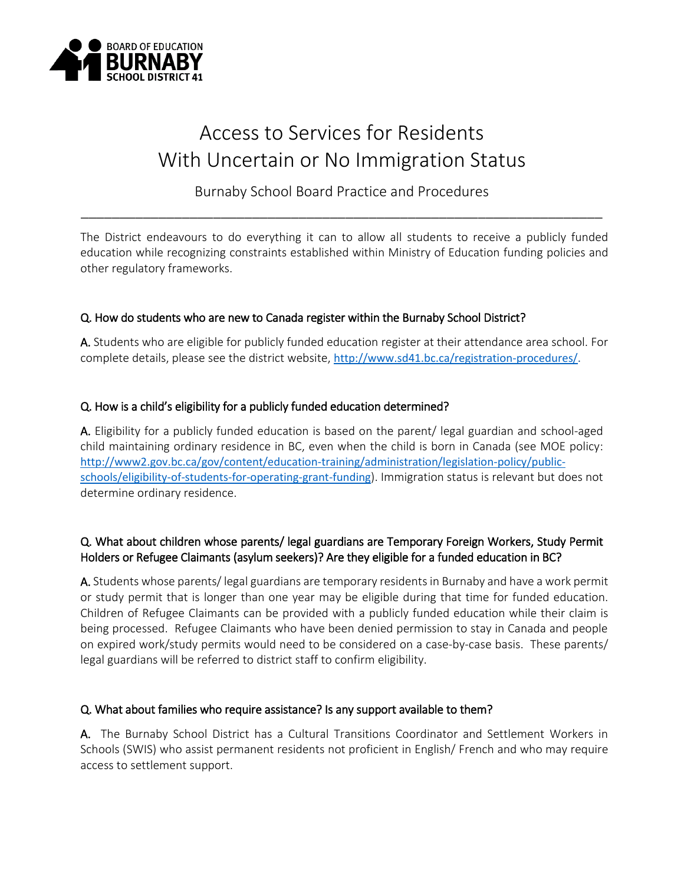

# Access to Services for Residents With Uncertain or No Immigration Status

Burnaby School Board Practice and Procedures \_\_\_\_\_\_\_\_\_\_\_\_\_\_\_\_\_\_\_\_\_\_\_\_\_\_\_\_\_\_\_\_\_\_\_\_\_\_\_\_\_\_\_\_\_\_\_\_\_\_\_\_\_\_\_\_\_\_\_\_\_\_\_\_\_\_\_

The District endeavours to do everything it can to allow all students to receive a publicly funded education while recognizing constraints established within Ministry of Education funding policies and other regulatory frameworks.

# Q. How do students who are new to Canada register within the Burnaby School District?

A. Students who are eligible for publicly funded education register at their attendance area school. For complete details, please see the district website, [http://www.sd41.bc.ca/registration-procedures/.](http://www.sd41.bc.ca/registration-procedures/)

# Q. How is a child's eligibility for a publicly funded education determined?

A. Eligibility for a publicly funded education is based on the parent/ legal guardian and school-aged child maintaining ordinary residence in BC, even when the child is born in Canada (see MOE policy: [http://www2.gov.bc.ca/gov/content/education-training/administration/legislation-policy/public](http://www2.gov.bc.ca/gov/content/education-training/administration/legislation-policy/public-schools/eligibility-of-students-for-operating-grant-funding)[schools/eligibility-of-students-for-operating-grant-funding](http://www2.gov.bc.ca/gov/content/education-training/administration/legislation-policy/public-schools/eligibility-of-students-for-operating-grant-funding)). Immigration status is relevant but does not determine ordinary residence.

# Q. What about children whose parents/ legal guardians are Temporary Foreign Workers, Study Permit Holders or Refugee Claimants (asylum seekers)? Are they eligible for a funded education in BC?

A. Students whose parents/ legal guardians are temporary residents in Burnaby and have a work permit or study permit that is longer than one year may be eligible during that time for funded education. Children of Refugee Claimants can be provided with a publicly funded education while their claim is being processed. Refugee Claimants who have been denied permission to stay in Canada and people on expired work/study permits would need to be considered on a case-by-case basis. These parents/ legal guardians will be referred to district staff to confirm eligibility.

# Q. What about families who require assistance? Is any support available to them?

A. The Burnaby School District has a Cultural Transitions Coordinator and Settlement Workers in Schools (SWIS) who assist permanent residents not proficient in English/ French and who may require access to settlement support.